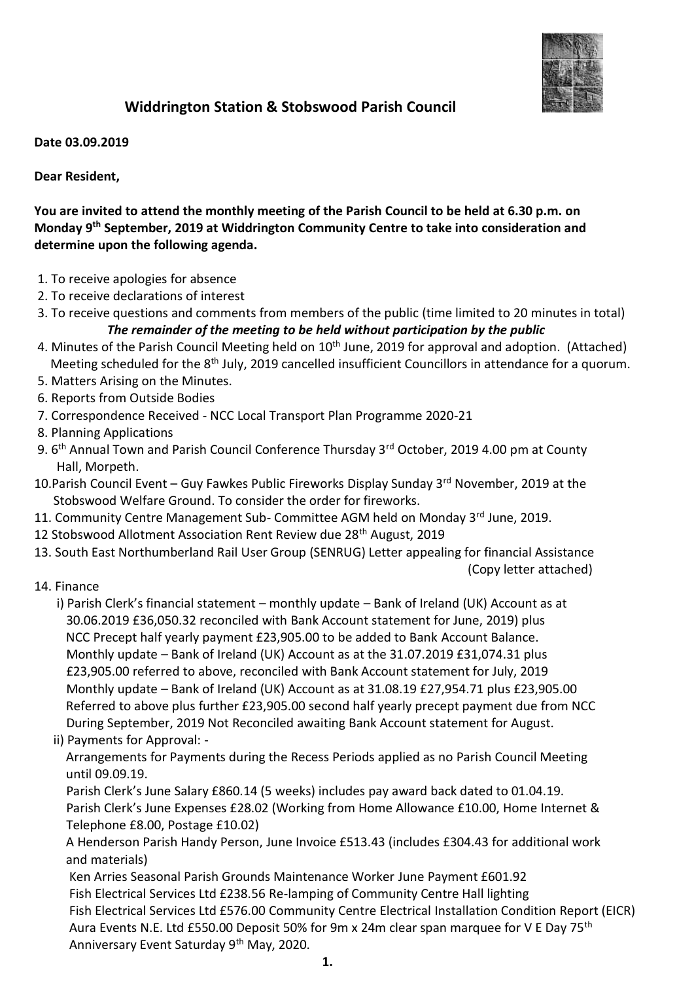

## **Widdrington Station & Stobswood Parish Council**

**Date 03.09.2019**

**Dear Resident,**

**You are invited to attend the monthly meeting of the Parish Council to be held at 6.30 p.m. on Monday 9 th September, 2019 at Widdrington Community Centre to take into consideration and determine upon the following agenda.**

- 1. To receive apologies for absence
- 2. To receive declarations of interest
- 3. To receive questions and comments from members of the public (time limited to 20 minutes in total) *The remainder of the meeting to be held without participation by the public*
- 4. Minutes of the Parish Council Meeting held on 10<sup>th</sup> June, 2019 for approval and adoption. (Attached) Meeting scheduled for the 8<sup>th</sup> July, 2019 cancelled insufficient Councillors in attendance for a quorum.
- 5. Matters Arising on the Minutes.
- 6. Reports from Outside Bodies
- 7. Correspondence Received NCC Local Transport Plan Programme 2020-21
- 8. Planning Applications
- 9. 6<sup>th</sup> Annual Town and Parish Council Conference Thursday 3<sup>rd</sup> October, 2019 4.00 pm at County Hall, Morpeth.
- 10. Parish Council Event Guy Fawkes Public Fireworks Display Sunday 3rd November, 2019 at the Stobswood Welfare Ground. To consider the order for fireworks.
- 11. Community Centre Management Sub- Committee AGM held on Monday 3<sup>rd</sup> June, 2019.
- 12 Stobswood Allotment Association Rent Review due 28<sup>th</sup> August, 2019
- 13. South East Northumberland Rail User Group (SENRUG) Letter appealing for financial Assistance

(Copy letter attached)

14. Finance

i) Parish Clerk's financial statement – monthly update – Bank of Ireland (UK) Account as at 30.06.2019 £36,050.32 reconciled with Bank Account statement for June, 2019) plus NCC Precept half yearly payment £23,905.00 to be added to Bank Account Balance. Monthly update – Bank of Ireland (UK) Account as at the 31.07.2019 £31,074.31 plus £23,905.00 referred to above, reconciled with Bank Account statement for July, 2019 Monthly update – Bank of Ireland (UK) Account as at 31.08.19 £27,954.71 plus £23,905.00 Referred to above plus further £23,905.00 second half yearly precept payment due from NCC During September, 2019 Not Reconciled awaiting Bank Account statement for August.

ii) Payments for Approval: -

 Arrangements for Payments during the Recess Periods applied as no Parish Council Meeting until 09.09.19.

 Parish Clerk's June Salary £860.14 (5 weeks) includes pay award back dated to 01.04.19. Parish Clerk's June Expenses £28.02 (Working from Home Allowance £10.00, Home Internet & Telephone £8.00, Postage £10.02)

 A Henderson Parish Handy Person, June Invoice £513.43 (includes £304.43 for additional work and materials)

 Ken Arries Seasonal Parish Grounds Maintenance Worker June Payment £601.92 Fish Electrical Services Ltd £238.56 Re-lamping of Community Centre Hall lighting Fish Electrical Services Ltd £576.00 Community Centre Electrical Installation Condition Report (EICR) Aura Events N.E. Ltd £550.00 Deposit 50% for 9m x 24m clear span marquee for V E Day 75th Anniversary Event Saturday 9th May, 2020.